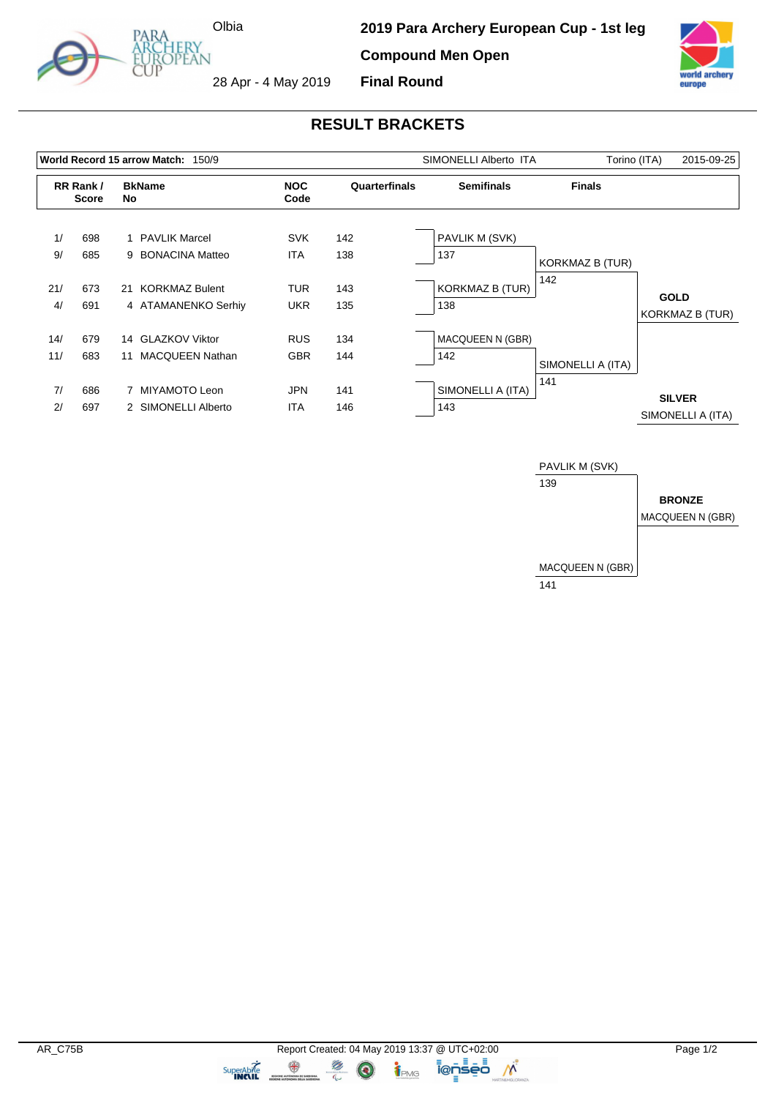

**2019 Para Archery European Cup - 1st leg Compound Men Open Final Round**



28 Apr - 4 May 2019

## **RESULT BRACKETS**

|            |                          |     | World Record 15 arrow Match: 150/9           |                          | SIMONELLI Alberto ITA | Torino (ITA)                   | 2015-09-25             |                                       |
|------------|--------------------------|-----|----------------------------------------------|--------------------------|-----------------------|--------------------------------|------------------------|---------------------------------------|
|            | RR Rank/<br><b>Score</b> | No. | <b>BkName</b>                                | <b>NOC</b><br>Code       | Quarterfinals         | <b>Semifinals</b>              | <b>Finals</b>          |                                       |
| 1/<br>9/   | 698<br>685               |     | 1 PAVLIK Marcel<br>9 BONACINA Matteo         | <b>SVK</b><br><b>ITA</b> | 142<br>138            | PAVLIK M (SVK)<br>137          | <b>KORKMAZ B (TUR)</b> |                                       |
| 21/<br>4/  | 673<br>691               | 21  | <b>KORKMAZ Bulent</b><br>4 ATAMANENKO Serhiy | <b>TUR</b><br><b>UKR</b> | 143<br>135            | <b>KORKMAZ B (TUR)</b><br>138  | 142                    | <b>GOLD</b><br><b>KORKMAZ B (TUR)</b> |
| 14/<br>11/ | 679<br>683               | 11  | 14 GLAZKOV Viktor<br><b>MACQUEEN Nathan</b>  | <b>RUS</b><br><b>GBR</b> | 134<br>144            | <b>MACQUEEN N (GBR)</b><br>142 | SIMONELLI A (ITA)      |                                       |
| 7/<br>2/   | 686<br>697               |     | 7 MIYAMOTO Leon<br>2 SIMONELLI Alberto       | <b>JPN</b><br><b>ITA</b> | 141<br>146            | SIMONELLI A (ITA)<br>143       | 141                    | <b>SILVER</b><br>SIMONELLI A (ITA)    |